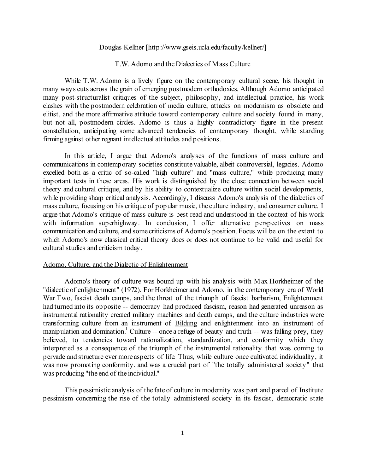#### Douglas Kellner [http://www.gseis.ucla.edu/faculty/kellner/]

### T.W. Adorno and theDialectics of Mass Culture

While T.W. Adomo is a lively figure on the contemporary cultural scene, his thought in many ways cuts across the grain of emerging postmodern orthodoxies. Although Adorno anticipated many post-structuralist critiques of the subject, philosophy, and intellectual practice, his work clashes with the postmodern celebration of media culture, attacks on modernism as obsolete and elitist, and the more affirmative attitude toward contemporary culture and society found in many, but not all, postmodern circles. Adorno is thus a highly contradictory figure in the present constellation, anticipating some advanced tendencies of contemporary thought, while standing firming against other regnant intellectual attitudes and positions.

In this article, I argue that Adorno's analyses of the functions of mass culture and communications in contemporary societies constitute valuable, albeit controversial, legacies. Adorno excelled both as a critic of so-called "high culture" and "mass culture," while producing many important texts in these areas. His work is distinguished by the close connection between social theory and cultural critique, and by his ability to contextualize culture within social developments, while providing sharp critical analysis. Accordingly, I discuss Adomo's analysis of the dialectics of mass culture, focusing on his critique of popular music, the culture industry, and consumer culture. I argue that Adorno's critique of mass culture is best read and understood in the context of his work with information superhighway. In conclusion, I offer alternative perspectives on mass communication and culture, and some criticisms of Adorno's position. Focus will be on the extent to which Adorno's now classical critical theory does or does not continue to be valid and useful for cultural studies and criticism today.

# Adomo, Culture, and the Dialectic of Enlightenment

Adorno's theory of culture was bound up with his analysis with Max Horkheimer of the "dialectic of enlightenment" (1972). For Horkheimer and Adorno, in the contemporary era of World War Two, fascist death camps, and the threat of the triumph of fascist barbarism, Enlightenment had turned into its opposite -- democracy had produced fascism, reason had generated unreason as instrumental rationality created military machines and death camps, and the culture industries were transforming culture from an instrument of Bildung and enlightenment into an instrument of manipulation and domination.<sup>1</sup> Culture -- once a refuge of beauty and truth -- was falling prey, they believed, to tendencies toward rationalization, standardization, and conformity which they interpreted as a consequence of the triumph of the instrumental rationality that was coming to pervade and structure ever more aspects of life. Thus, while culture once cultivated individuality, it was now promoting conformity, and was a crucial part of "the totally administered society" that was producing "the end of the individual."

This pessimistic analysis of the fate of culture in modernity was part and parcel of Institute pessimism concerning the rise of the totally administered society in its fascist, democratic state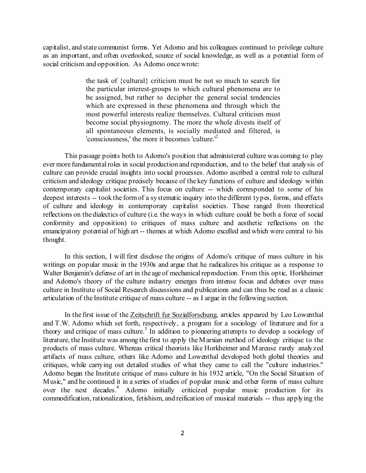capitalist, and state communist forms. Yet Adorno and his colleagues continued to privilege culture as an important, and often overlooked, source of social knowledge, as well as a potential form of social criticism and opposition. As Adomo once wrote:

> the task of {cultural} criticism must be not so much to search for the particular interest-groups to which cultural phenomena are to be assigned, but rather to decipher the general social tendencies which are expressed in these phenomena and through which the most powerful interests realize themselves. Cultural criticism must become social physiognomy. The more the whole divests itself of all spontaneous elements, is socially mediated and filtered, is 'consciousness,' the more it becomes 'culture.'<sup>2</sup>

This passage points both to Adorno's position that administered culture was coming to play ever more fundamental roles in social production and reproduction, and to the belief that analysis of culture can provide crucial insights into social processes. Adorno ascribed a central role to cultural criticism and ideology critique precisely because of the key functions of culture and ideology within contemporary capitalist societies. This focus on culture -- which corresponded to some of his deepest interests -- took the formof a systematic inquiry into the different types, forms, and effects of culture and ideology in contemporary capitalist societies. These ranged from theoretical reflections on the dialectics of culture (i.e. the ways in which culture could be both a force of social conformity and opposition) to critiques of mass culture and aesthetic reflections on the emancipatory potential of high art -- themes at which Adorno excelled and which were central to his thought.

In this section, I will first disclose the origins of Adorno's critique of mass culture in his writings on popular music in the 1930s and argue that he radicalizes his critique as a response to Walter Benjamin's defense of art in the age of mechanical reproduction. From this optic, Horkheimer and Adorno's theory of the culture industry emerges from intense focus and debates over mass culture in Institute of Social Research discussions and publications and can thus be read as a classic articulation of the Institute critique of mass culture -- as I argue in the following section.

In the first issue of the Zeitschrift fur Sozialforschung, articles appeared by Leo Lowenthal and T.W. Adorno which set forth, respectively, a program for a sociology of literature and for a theory and critique of mass culture.<sup>3</sup> In addition to pioneering attempts to develop a sociology of literature, the Institute was among the first to apply theMarxian method of ideology critique to the products of mass culture. Whereas critical theorists like Horkheimer and Marcuse rarely analyzed artifacts of mass culture, others like Adorno and Lowenthal developed both global theories and critiques, while carrying out detailed studies of what they came to call the "culture industries." Adorno began the Institute critique of mass culture in his 1932 article, "On the Social Situation of Music," and he continued it in a series of studies of popular music and other forms of mass culture over the next decades. <sup>4</sup> Adorno initially criticized popular music production for its commodification, rationalization, fetishism, and reification of musical materials -- thus applying the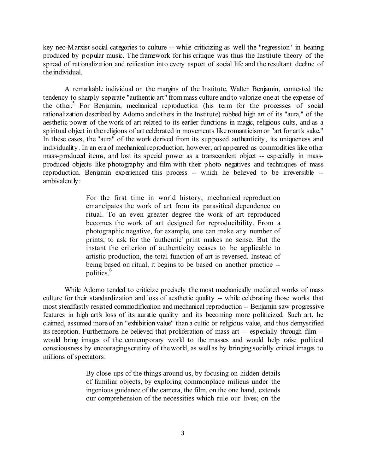key neo-Marxist social categories to culture -- while criticizing as well the "regression" in hearing produced by popular music. The framework for his critique was thus the Institute theory of the spread of rationalization and reification into every aspect of social life and the resultant decline of the individual.

A remarkable individual on the margins of the Institute, Walter Benjamin, contested the tendency to sharply separate "authentic art" frommass culture and to valorize one at the expense of the other. <sup>5</sup> For Benjamin, mechanical reproduction (his term for the processes of social rationalization described by Adorno and others in the Institute) robbed high art of its "aura," of the aesthetic power of the work of art related to its earlier functions in magic, religious cults, and as a spiritual object in the religions of art celebrated in movements like romanticismor "art for art's sake." In these cases, the "aura" of the work derived from its supposed authenticity, its uniqueness and individuality. In an era of mechanical reproduction, however, art appeared as commodities like other mass-produced items, and lost its special power as a transcendent object -- especially in massproduced objects like photography and film with their photo negatives and techniques of mass reproduction. Benjamin experienced this process -- which he believed to be irreversible - ambivalently:

> For the first time in world history, mechanical reproduction emancipates the work of art from its parasitical dependence on ritual. To an even greater degree the work of art reproduced becomes the work of art designed for reproducibility. From a photographic negative, for example, one can make any number of prints; to ask for the 'authentic' print makes no sense. But the instant the criterion of authenticity ceases to be applicable to artistic production, the total function of art is reversed. Instead of being based on ritual, it begins to be based on another practice - politics.<sup>6</sup>

While Adomo tended to criticize precisely the most mechanically mediated works of mass culture for their standardization and loss of aesthetic quality -- while celebrating those works that most steadfastly resisted commodification and mechanical reproduction -- Benjamin saw progressive features in high art's loss of its auratic quality and its becoming more politicized. Such art, he claimed, assumed more of an "exhibition value" than a cultic or religious value, and thus demystified its reception. Furthermore, he believed that proliferation of mass art -- especially through film - would bring images of the contemporary world to the masses and would help raise political consciousness by encouragingscrutiny of theworld, as well as by bringing socially critical images to millions of spectators:

> By close-ups of the things around us, by focusing on hidden details of familiar objects, by exploring commonplace milieus under the ingenious guidance of the camera, the film, on the one hand, extends our comprehension of the necessities which rule our lives; on the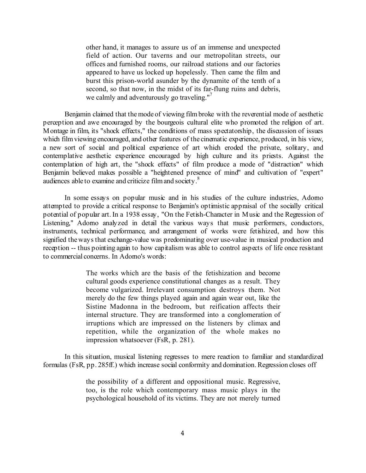other hand, it manages to assure us of an immense and unexpected field of action. Our taverns and our metropolitan streets, our offices and furnished rooms, our railroad stations and our factories appeared to have us locked up hopelessly. Then came the film and burst this prison-world asunder by the dynamite of the tenth of a second, so that now, in the midst of its far-flung ruins and debris, we calmly and adventurously go traveling." $\prime$ 

Benjamin claimed that themode of viewing filmbroke with the reverential mode of aesthetic perception and awe encouraged by the bourgeois cultural elite who promoted the religion of art. Montage in film, its "shock effects," the conditions of mass spectatorship, the discussion of issues which film viewing encouraged, and other features of the cinematic experience, produced, in his view, a new sort of social and political experience of art which eroded the private, solitary, and contemplative aesthetic experience encouraged by high culture and its priests. Against the contemplation of high art, the "shock effects" of film produce a mode of "distraction" which Benjamin believed makes possible a "heightened presence of mind" and cultivation of "expert" audiences able to examine and criticize filmand society. 8

In some essays on popular music and in his studies of the culture industries, Adorno attempted to provide a critical response to Benjamin's optimistic appraisal of the socially critical potential of popular art. In a 1938 essay, "On the Fetish-Character in Music and the Regression of Listening," Adorno analyzed in detail the various ways that music performers, conductors, instruments, technical performance, and arrangement of works were fetishized, and how this signified the ways that exchange-value was predominating over use-value in musical production and reception -- thus pointing again to how capitalism was able to control aspects of life once resistant to commercial concerns. In Adorno's words:

> The works which are the basis of the fetishization and become cultural goods experience constitutional changes as a result. They become vulgarized. Irrelevant consumption destroys them. Not merely do the few things played again and again wear out, like the Sistine Madonna in the bedroom, but reification affects their internal structure. They are transformed into a conglomeration of irruptions which are impressed on the listeners by climax and repetition, while the organization of the whole makes no impression whatsoever (FsR, p. 281).

In this situation, musical listening regresses to mere reaction to familiar and standardized formulas (FsR, pp. 285ff.) which increase social conformity and domination. Regression closes off

> the possibility of a different and oppositional music. Regressive, too, is the role which contemporary mass music plays in the psychological household of its victims. They are not merely turned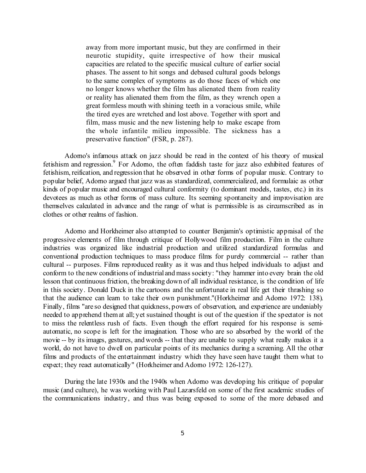away from more important music, but they are confirmed in their neurotic stupidity, quite irrespective of how their musical capacities are related to the specific musical culture of earlier social phases. The assent to hit songs and debased cultural goods belongs to the same complex of symptoms as do those faces of which one no longer knows whether the film has alienated them from reality or reality has alienated them from the film, as they wrench open a great formless mouth with shining teeth in a voracious smile, while the tired eyes are wretched and lost above. Together with sport and film, mass music and the new listening help to make escape from the whole infantile milieu impossible. The sickness has a preservative function" (FSR, p. 287).

Adorno's infamous attack on jazz should be read in the context of his theory of musical fetishism and regression.<sup>9</sup> For Adomo, the often faddish taste for jazz also exhibited features of fetishism, reification, and regression that he observed in other forms of popular music. Contrary to popular belief, Adorno argued that jazz was as standardized, commercialized, and formulaic as other kinds of popular music and encouraged cultural conformity (to dominant models, tastes, etc.) in its devotees as much as other forms of mass culture. Its seeming spontaneity and improvisation are themselves calculated in advance and the range of what is permissible is as circumscribed as in clothes or other realms of fashion.

Adorno and Horkheimer also attempted to counter Benjamin's optimistic appraisal of the progressive elements of film through critique of Hollywood film production. Film in the culture industries was organized like industrial production and utilized standardized formulas and conventional production techniques to mass produce films for purely commercial -- rather than cultural -- purposes. Films reproduced reality as it was and thus helped individuals to adjust and conform to the new conditions of industrial and mass society: "they hammer into every brain the old lesson that continuous friction, the breaking down of all individual resistance, is the condition of life in this society. Donald Duck in the cartoons and the unfortunate in real life get their thrashing so that the audience can learn to take their own punishment."(Horkheimer and Adorno 1972: 138). Finally, films "are so designed that quickness, powers of observation, and experience are undeniably needed to apprehend themat all; yet sustained thought is out of the question if the spectator is not to miss the relentless rush of facts. Even though the effort required for his response is semiautomatic, no scope is left for the imagination. Those who are so absorbed by the world of the movie -- by itsimages, gestures, and words -- that they are unable to supply what really makes it a world, do not have to dwell on particular points of its mechanics during a screening. All the other films and products of the entertainment industry which they have seen have taught them what to expect; they react automatically" (Horkheimer and Adorno 1972: 126-127).

During the late 1930s and the 1940s when Adorno was developing his critique of popular music (and culture), he was working with Paul Lazarsfeld on some of the first academic studies of the communications industry, and thus was being exposed to some of the more debased and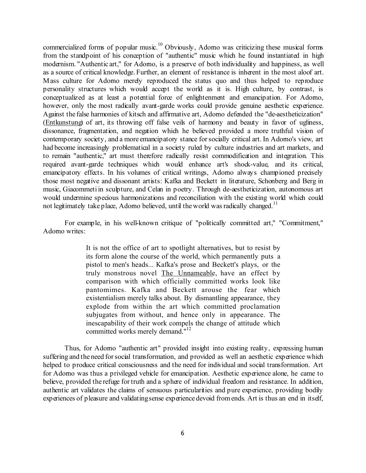commercialized forms of popular music.<sup>10</sup> Obviously, Adomo was criticizing these musical forms from the standpoint of his conception of "authentic" music which he found instantiated in high modernism. "Authentic art," for Adorno, is a preserve of both individuality and happiness, as well as a source of critical knowledge. Further, an element of resistance is inherent in the most aloof art. Mass culture for Adorno merely reproduced the status quo and thus helped to reproduce personality structures which would accept the world as it is. High culture, by contrast, is conceptualized as at least a potential force of enlightenment and emancipation. For Adorno, however, only the most radically avant-garde works could provide genuine aesthetic experience. Against the false harmonies of kitsch and affirmative art, Adorno defended the "de-aestheticization" (Entkunstung) of art, its throwing off false veils of harmony and beauty in favor of ugliness, dissonance, fragmentation, and negation which he believed provided a more truthful vision of contemporary society, and a more emancipatory stance forsocially critical art. In Adorno's view, art had become increasingly problematical in a society ruled by culture industries and art markets, and to remain "authentic," art must therefore radically resist commodification and integration. This required avant-garde techniques which would enhance art's shock-value, and its critical, emancipatory effects. In his volumes of critical writings, Adorno always championed precisely those most negative and dissonant artists: Kafka and Beckett in literature, Schonberg and Berg in music, Giacommetiin sculpture, and Celan in poetry. Through de-aestheticization, autonomous art would undermine specious harmonizations and reconciliation with the existing world which could not legitimately take place, Adomo believed, until the world was radically changed.<sup>11</sup>

For example, in his well-known critique of "politically committed art," "Commitment," Adomo writes:

> It is not the office of art to spotlight alternatives, but to resist by its form alone the course of the world, which permanently puts a pistol to men's heads... Kafka's prose and Beckett's plays, or the truly monstrous novel The Unnameable, have an effect by comparison with which officially committed works look like pantomimes. Kafka and Beckett arouse the fear which existentialism merely talks about. By dismantling appearance, they explode from within the art which committed proclamation subjugates from without, and hence only in appearance. The inescapability of their work compels the change of attitude which committed works merely demand."<sup>12</sup>

Thus, for Adorno "authentic art" provided insight into existing reality, expressing human suffering and the need for social transformation, and provided as well an aesthetic experience which helped to produce critical consciousness and the need for individual and social transformation. Art for Adorno was thus a privileged vehicle for emancipation. Aesthetic experience alone, he came to believe, provided the refuge for truth and a sphere of individual freedom and resistance. In addition, authentic art validates the claims of sensuous particularities and pure experience, providing bodily experiences of pleasure and validatingsense experience devoid fromends. Art is thus an end in itself,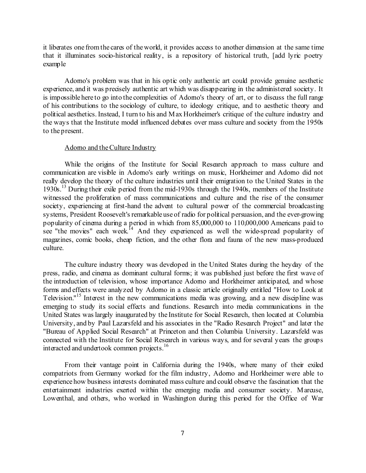it liberates one fromthe cares of theworld, it provides access to another dimension at the same time that it illuminates socio-historical reality, is a repository of historical truth, [add lyric poetry example

Adorno's problem was that in his optic only authentic art could provide genuine aesthetic experience, and it was precisely authentic art which was disappearing in the administered society. It is impossible here to go into the complexities of Adorno's theory of art, or to discuss the full range of his contributions to the sociology of culture, to ideology critique, and to aesthetic theory and political aesthetics. Instead, I turn to his and Max Horkheimer's critique of the culture industry and the ways that the Institute model influenced debates over mass culture and society from the 1950s to the present.

# Adomo and the Culture Industry

While the origins of the Institute for Social Research approach to mass culture and communication are visible in Adorno's early writings on music, Horkheimer and Adorno did not really develop the theory of the culture industries until their emigration to the United States in the 1930s. <sup>13</sup> During their exile period from the mid-1930s through the 1940s, members of the Institute witnessed the proliferation of mass communications and culture and the rise of the consumer society, experiencing at first-hand the advent to cultural power of the commercial broadcasting systems, President Roosevelt's remarkable use of radio for political persuasion, and the ever-growing popularity of cinema during a period in which from 85,000,000 to 110,000,000 Americans paid to see "the movies" each week.<sup>14</sup> And they experienced as well the wide-spread popularity of magazines, comic books, cheap fiction, and the other flora and fauna of the new mass-produced culture.

The culture industry theory was developed in the United States during the heyday of the press, radio, and cinema as dominant cultural forms; it was published just before the first wave of the introduction of television, whose importance Adorno and Horkheimer anticipated, and whose forms and effects were analyzed by Adorno in a classic article originally entitled "How to Look at Television."<sup>15</sup> Interest in the new communications media was growing, and a new discipline was emerging to study its social effects and functions. Research into media communications in the United States waslargely inaugurated by the Institute for Social Research, then located at Columbia University, and by Paul Lazarsfeld and his associates in the "Radio Research Project" and later the "Bureau of Applied Social Research" at Princeton and then Columbia University. Lazarsfeld was connected with the Institute for Social Research in various ways, and for several years the groups interacted and undertook common projects.<sup>16</sup>

From their vantage point in California during the 1940s, where many of their exiled compatriots from Germany worked for the film industry, Adorno and Horkheimer were able to experience how business interests dominated mass culture and could observe the fascination that the entertainment industries exerted within the emerging media and consumer society. Marcuse, Lowenthal, and others, who worked in Washington during this period for the Office of War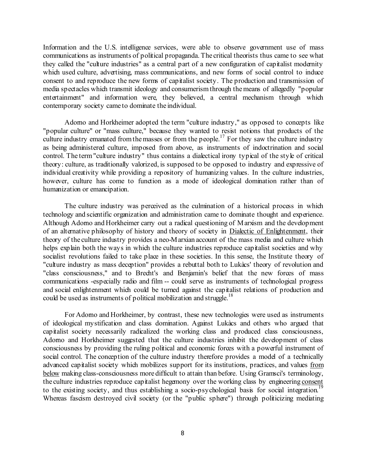Information and the U.S. intelligence services, were able to observe government use of mass communications as instruments of political propaganda. The critical theorists thus came to see what they called the "culture industries" as a central part of a new configuration of capitalist modernity which used culture, advertising, mass communications, and new forms of social control to induce consent to and reproduce the new forms of capitalist society. The production and transmission of media spectacles which transmit ideology and consumerismthrough themeans of allegedly "popular entertainment" and information were, they believed, a central mechanism through which contemporary society came to dominate the individual.

Adorno and Horkheimer adopted the term "culture industry," as opposed to concepts like "popular culture" or "mass culture," because they wanted to resist notions that products of the culture industry emanated from the masses or from the people.<sup>17</sup> For they saw the culture industry as being administered culture, imposed from above, as instruments of indoctrination and social control. The term"culture industry" thus contains a dialectical irony typical of the style of critical theory: culture, as traditionally valorized, is supposed to be opposed to industry and expressive of individual creativity while providing a repository of humanizing values. In the culture industries, however, culture has come to function as a mode of ideological domination rather than of humanization or emancipation.

The culture industry was perceived as the culmination of a historical process in which technology and scientific organization and administration came to dominate thought and experience. Although Adorno and Horkheimer carry out a radical questioning of Marxism and the development of an alternative philosophy of history and theory of society in Dialectic of Enlightenment, their theory of the culture industry provides a neo-Marxian account of the mass media and culture which helps explain both the ways in which the culture industries reproduce capitalist societies and why socialist revolutions failed to take place in these societies. In this sense, the Institute theory of "culture industry as mass deception" provides a rebuttal both to Lukàcs' theory of revolution and "class consciousness," and to Brecht's and Benjamin's belief that the new forces of mass communications -especially radio and film -- could serve as instruments of technological progress and social enlightenment which could be turned against the capitalist relations of production and could be used as instruments of political mobilization and struggle.<sup>18</sup>

For Adorno and Horkheimer, by contrast, these new technologies were used as instruments of ideological mystification and class domination. Against Lukàcs and others who argued that capitalist society necessarily radicalized the working class and produced class consciousness, Adorno and Horkheimer suggested that the culture industries inhibit the development of class consciousness by providing the ruling political and economic forces with a powerful instrument of social control. The conception of the culture industry therefore provides a model of a technically advanced capitalist society which mobilizes support for its institutions, practices, and values from below making class-consciousness more difficult to attain than before. Using Gramsci's terminology, the culture industries reproduce capitalist hegemony over the working class by engineering consent to the existing society, and thus establishing a socio-psychological basis for social integration.<sup>19</sup> Whereas fascism destroyed civil society (or the "public sphere") through politicizing mediating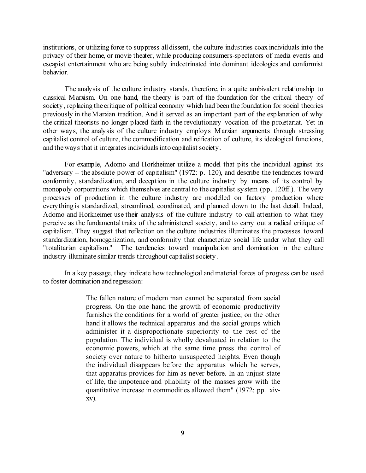institutions, or utilizing force to suppress all dissent, the culture industries coax individuals into the privacy of their home, or movie theater, while producing consumers-spectators of media events and escapist entertainment who are being subtly indoctrinated into dominant ideologies and conformist behavior.

The analysis of the culture industry stands, therefore, in a quite ambivalent relationship to classical Marxism. On one hand, the theory is part of the foundation for the critical theory of society, replacing the critique of political economy which had been the foundation for social theories previously in theMarxian tradition. And it served as an important part of the explanation of why the critical theorists no longer placed faith in the revolutionary vocation of the proletariat. Yet in other ways, the analysis of the culture industry employs Marxian arguments through stressing capitalist control of culture, the commodification and reification of culture, its ideological functions, and the ways that it integrates individuals into capitalist society.

For example, Adorno and Horkheimer utilize a model that pits the individual against its "adversary -- the absolute power of capitalism" (1972: p. 120), and describe the tendencies toward conformity, standardization, and deception in the culture industry by means of its control by monopoly corporations which themselves are central to the capitalist system (pp. 120ff.). The very processes of production in the culture industry are modelled on factory production where everything is standardized, streamlined, coordinated, and planned down to the last detail. Indeed, Adorno and Horkheimer use their analysis of the culture industry to call attention to what they perceive as the fundamental traits of the administered society, and to carry out a radical critique of capitalism. They suggest that reflection on the culture industries illuminates the processes toward standardization, homogenization, and conformity that characterize social life under what they call "totalitarian capitalism." The tendencies toward manipulation and domination in the culture industry illuminate similar trends throughout capitalist society.

In a key passage, they indicate how technological and material forces of progress can be used to foster domination and regression:

> The fallen nature of modern man cannot be separated from social progress. On the one hand the growth of economic productivity furnishes the conditions for a world of greater justice; on the other hand it allows the technical apparatus and the social groups which administer it a disproportionate superiority to the rest of the population. The individual is wholly devaluated in relation to the economic powers, which at the same time press the control of society over nature to hitherto unsuspected heights. Even though the individual disappears before the apparatus which he serves, that apparatus provides for him as never before. In an unjust state of life, the impotence and pliability of the masses grow with the quantitative increase in commodities allowed them" (1972: pp. xivxv).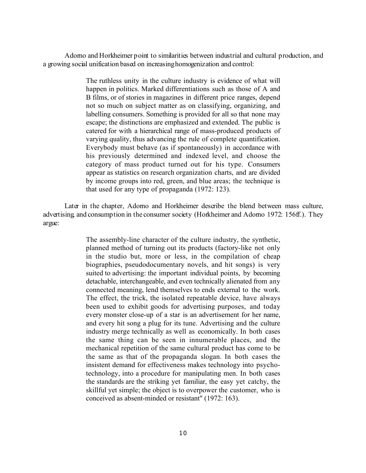Adorno and Horkheimer point to similarities between industrial and cultural production, and a growing social unification based on increasinghomogenization and control:

> The ruthless unity in the culture industry is evidence of what will happen in politics. Marked differentiations such as those of A and B films, or of stories in magazines in different price ranges, depend not so much on subject matter as on classifying, organizing, and labelling consumers. Something is provided for all so that none may escape; the distinctions are emphasized and extended. The public is catered for with a hierarchical range of mass-produced products of varying quality, thus advancing the rule of complete quantification. Everybody must behave (as if spontaneously) in accordance with his previously determined and indexed level, and choose the category of mass product turned out for his type. Consumers appear as statistics on research organization charts, and are divided by income groups into red, green, and blue areas; the technique is that used for any type of propaganda (1972: 123).

Later in the chapter, Adorno and Horkheimer describe the blend between mass culture, advertising, and consumption in the consumer society (Horkheimer and Adorno 1972: 156ff.). They argue:

> The assembly-line character of the culture industry, the synthetic, planned method of turning out its products (factory-like not only in the studio but, more or less, in the compilation of cheap biographies, pseudodocumentary novels, and hit songs) is very suited to advertising: the important individual points, by becoming detachable, interchangeable, and even technically alienated from any connected meaning, lend themselves to ends external to the work. The effect, the trick, the isolated repeatable device, have always been used to exhibit goods for advertising purposes, and today every monster close-up of a star is an advertisement for her name, and every hit song a plug for its tune. Advertising and the culture industry merge technically as well as economically. In both cases the same thing can be seen in innumerable places, and the mechanical repetition of the same cultural product has come to be the same as that of the propaganda slogan. In both cases the insistent demand for effectiveness makes technology into psychotechnology, into a procedure for manipulating men. In both cases the standards are the striking yet familiar, the easy yet catchy, the skillful yet simple; the object is to overpower the customer, who is conceived as absent-minded or resistant" (1972: 163).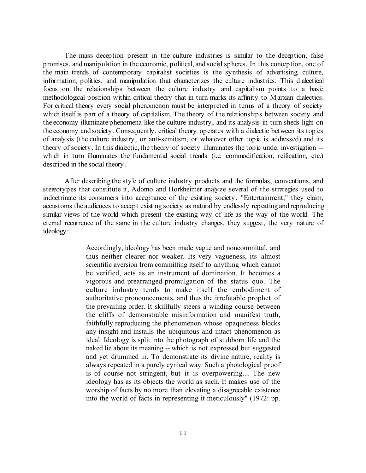The mass deception present in the culture industries is similar to the deception, false promises, and manipulation in the economic, political, and social spheres. In this conception, one of the main trends of contemporary capitalist societies is the synthesis of advertising, culture, information, politics, and manipulation that characterizes the culture industries. This dialectical focus on the relationships between the culture industry and capitalism points to a basic methodological position within critical theory that in turn marks its affinity to Marxian dialectics. For critical theory every social phenomenon must be interpreted in terms of a theory of society which itself is part of a theory of capitalism. The theory of the relationships between society and the economy illuminate phenomena like the culture industry, and its analysis in turn sheds light on the economy and society. Consequently, critical theory operates with a dialectic between its topics of analysis (the culture industry, or anti-semitism, or whatever other topic is addressed) and its theory of society. In this dialectic, the theory of society illuminates the topic under investigation - which in turn illuminates the fundamental social trends (i.e. commodification, reification, etc.) described in the social theory.

After describing the style of culture industry products and the formulas, conventions, and stereotypes that constitute it, Adorno and Horkheimer analyze several of the strategies used to indoctrinate its consumers into acceptance of the existing society. "Entertainment," they claim, accustoms the audiences to accept existing society as natural by endlessly repeating and reproducing similar views of the world which present the existing way of life as the way of the world. The eternal recurrence of the same in the culture industry changes, they suggest, the very nature of ideology:

> Accordingly, ideology has been made vague and noncommittal, and thus neither clearer nor weaker. Its very vagueness, its almost scientific aversion from committing itself to anything which cannot be verified, acts as an instrument of domination. It becomes a vigorous and prearranged promulgation of the status quo. The culture industry tends to make itself the embodiment of authoritative pronouncements, and thus the irrefutable prophet of the prevailing order. It skillfully steers a winding course between the cliffs of demonstrable misinformation and manifest truth, faithfully reproducing the phenomenon whose opaqueness blocks any insight and installs the ubiquitous and intact phenomenon as ideal. Ideology is split into the photograph of stubborn life and the naked lie about its meaning -- which is not expressed but suggested and yet drummed in. To demonstrate its divine nature, reality is always repeated in a purely cynical way. Such a photological proof is of course not stringent, but it is overpowering.... The new ideology has as its objects the world as such. It makes use of the worship of facts by no more than elevating a disagreeable existence into the world of facts in representing it meticulously" (1972: pp.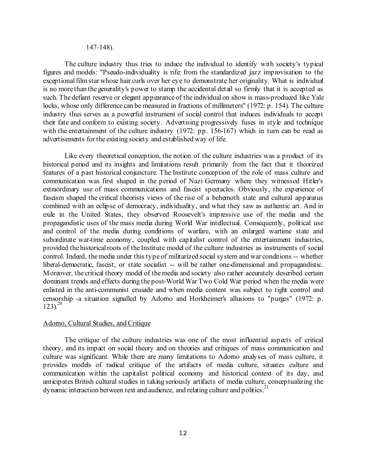#### 147-148).

The culture industry thus tries to induce the individual to identify with society's typical figures and models: "Pseudo-individuality is rife: from the standardized jazz improvisation to the exceptional film star whose hair curls over her eye to demonstrate her originality. What is individual is no more than the generality's power to stamp the accidental detail so firmly that it is accepted as such. The defiant reserve or elegant appearance of the individual on show is mass-produced like Yale locks, whose only difference can be measured in fractions of millimeters" (1972: p. 154). The culture industry thus serves as a powerful instrument of social control that induces individuals to accept their fate and conform to existing society. Advertising progressively fuses in style and technique with the entertainment of the culture industry (1972: pp. 156-167) which in turn can be read as advertisements for the existing society and established way of life.

Like every theoretical conception, the notion of the culture industries was a product of its historical period and its insights and limitations result primarily from the fact that it theorized features of a past historical conjuncture. The Institute conception of the role of mass culture and communication was first shaped in the period of Nazi Germany where they witnessed Hitler's extraordinary use of mass communications and fascist spectacles. Obviously, the experience of fascism shaped the critical theorists views of the rise of a behemoth state and cultural apparatus combined with an eclipse of democracy, individuality, and what they saw as authentic art. And in exile in the United States, they observed Roosevelt's impressive use of the media and the propagandistic uses of the mass media during World War intellectual. Consequently, political use and control of the media during conditions of warfare, with an enlarged wartime state and subordinate war-time economy, coupled with capitalist control of the entertainment industries, provided the historical roots of the Institute model of the culture industries as instruments of social control. Indeed, themedia under thistype of militarized social system and war conditions -- whether liberal-democratic, fascist, or state socialist -- will be rather one-dimensional and propagandistic. Moreover, the critical theory model of the media and society also rather accurately described certain dominant trends and effects during the post-World War Two Cold War period when the media were enlisted in the anti-communist crusade and when media content was subject to tight control and censorship -a situation signalled by Adorno and Horkheimer's allusions to "purges" (1972: p.  $123)$ <sup>20</sup>

#### Adomo, Cultural Studies, and Critique

The critique of the culture industries was one of the most influential aspects of critical theory, and its impact on social theory and on theories and critiques of mass communication and culture was significant. While there are many limitations to Adorno analyses of mass culture, it provides models of radical critique of the artifacts of media culture, situates culture and communication within the capitalist political economy and historical context of its day, and anticipates British cultural studies in taking seriously artifacts of media culture, conceptualizing the dynamic interaction between text and audience, and relating culture and politics.<sup>21</sup>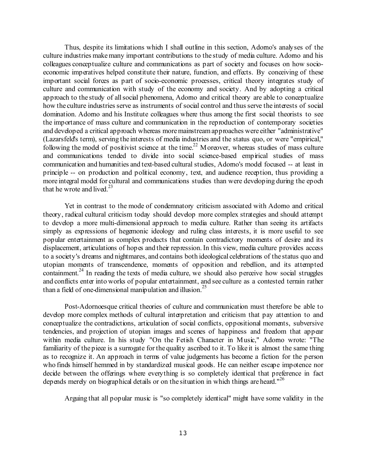Thus, despite its limitations which I shall outline in this section, Adorno's analyses of the culture industries makemany important contributions to the study of media culture. Adorno and his colleagues conceptualize culture and communications as part of society and focuses on how socioeconomic imperatives helped constitute their nature, function, and effects. By conceiving of these important social forces as part of socio-economic processes, critical theory integrates study of culture and communication with study of the economy and society. And by adopting a critical approach to the study of allsocial phenomena, Adorno and critical theory are able to conceptualize how the culture industries serve as instruments of social control and thus serve the interests of social domination. Adorno and his Institute colleagues where thus among the first social theorists to see the importance of mass culture and communication in the reproduction of contemporary societies and developed a critical approach whereas moremainstreamapproaches were either "administrative" (Lazarsfeld's term), serving the interests of media industries and the status quo, or were "empirical," following the model of positivist science at the time.<sup>22</sup> Moreover, whereas studies of mass culture and communications tended to divide into social science-based empirical studies of mass communication and humanities and text-based cultural studies, Adorno's model focused -- at least in principle -- on production and political economy, text, and audience reception, thus providing a more integral model for cultural and communications studies than were developing during the epoch that he wrote and lived. $^{23}$ 

Yet in contrast to the mode of condemnatory criticism associated with Adorno and critical theory, radical cultural criticism today should develop more complex strategies and should attempt to develop a more multi-dimensional approach to media culture. Rather than seeing its artifacts simply as expressions of hegemonic ideology and ruling class interests, it is more useful to see popular entertainment as complex products that contain contradictory moments of desire and its displacement, articulations of hopes and their repression. In this view, media culture provides access to a society's dreams and nightmares, and contains both ideological celebrations of the status quo and utopian moments of transcendence, moments of opposition and rebellion, and its attempted containment.<sup>24</sup> In reading the texts of media culture, we should also perceive how social struggles and conflicts enter into works of popular entertainment, and see culture as a contested terrain rather than a field of one-dimensional manipulation and illusion.<sup>25</sup>

Post-Adornoesque critical theories of culture and communication must therefore be able to develop more complex methods of cultural interpretation and criticism that pay attention to and conceptualize the contradictions, articulation of social conflicts, oppositional moments, subversive tendencies, and projection of utopian images and scenes of happiness and freedom that appear within media culture. In his study "On the Fetish Character in Music," Adorno wrote: "The familiarity of the piece is a surrogate for the quality ascribed to it. To like it is almost the same thing as to recognize it. An approach in terms of value judgements has become a fiction for the person who finds himself hemmed in by standardized musical goods. He can neither escape impotence nor decide between the offerings where everything is so completely identical that preference in fact depends merely on biographical details or on the situation in which things are heard."<sup>26</sup>

Arguing that all popular music is "so completely identical" might have some validity in the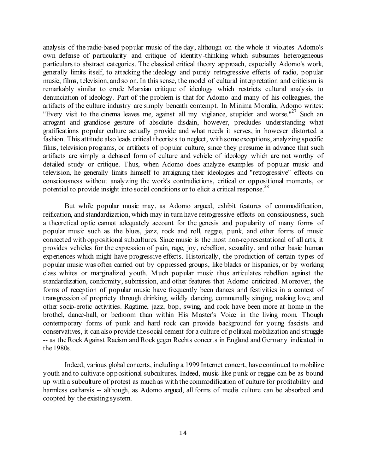analysis of the radio-based popular music of the day, although on the whole it violates Adorno's own defense of particularity and critique of identity-thinking which subsumes heterogeneous particulars to abstract categories. The classical critical theory approach, especially Adomo's work, generally limits itself, to attacking the ideology and purely retrogressive effects of radio, popular music, films, television, and so on. In this sense, the model of cultural interpretation and criticism is remarkably similar to crude Marxian critique of ideology which restricts cultural analysis to denunciation of ideology. Part of the problem is that for Adorno and many of his colleagues, the artifacts of the culture industry are simply beneath contempt. In Minima Moralia, Adorno writes: "Every visit to the cinema leaves me, against all my vigilance, stupider and worse."<sup>27</sup> Such an arrogant and grandiose gesture of absolute disdain, however, precludes understanding what gratifications popular culture actually provide and what needs it serves, in however distorted a fashion. This attitude also leads critical theorists to neglect, with some exceptions, analyzing specific films, television programs, or artifacts of popular culture, since they presume in advance that such artifacts are simply a debased form of culture and vehicle of ideology which are not worthy of detailed study or critique. Thus, when Adorno does analyze examples of popular music and television, he generally limits himself to arraigning their ideologies and "retrogressive" effects on consciousness without analyzing the work's contradictions, critical or oppositional moments, or potential to provide insight into social conditions or to elicit a critical response.<sup>28</sup>

But while popular music may, as Adorno argued, exhibit features of commodification, reification, and standardization, which may in turn have retrogressive effects on consciousness, such a theoretical optic cannot adequately account for the genesis and popularity of many forms of popular music such as the blues, jazz, rock and roll, reggae, punk, and other forms of music connected with oppositional subcultures. Since music is the most non-representational of all arts, it provides vehicles for the expression of pain, rage, joy, rebellion, sexuality, and other basic human experiences which might have progressive effects. Historically, the production of certain types of popular music was often carried out by oppressed groups, like blacks or hispanics, or by working class whites or marginalized youth. Much popular music thus articulates rebellion against the standardization, conformity, submission, and other features that Adorno criticized. Moreover, the forms of reception of popular music have frequently been dances and festivities in a context of transgression of propriety through drinking, wildly dancing, communally singing, making love, and other socio-erotic activities. Ragtime, jazz, bop, swing, and rock have been more at home in the brothel, dance-hall, or bedroom than within His Master's Voice in the living room. Though contemporary forms of punk and hard rock can provide background for young fascists and conservatives, it can also provide the social cement for a culture of political mobilization and struggle -- as the Rock Against Racism and Rock gegen Rechts concerts in England and Germany indicated in the 1980s.

Indeed, various global concerts, including a 1999 Internet concert, have continued to mobilize youth and to cultivate oppositional subcultures. Indeed, music like punk or reggae can be as bound up with a subculture of protest as much as with the commodification of culture for profitability and harmless catharsis -- although, as Adomo argued, all forms of media culture can be absorbed and coopted by the existing system.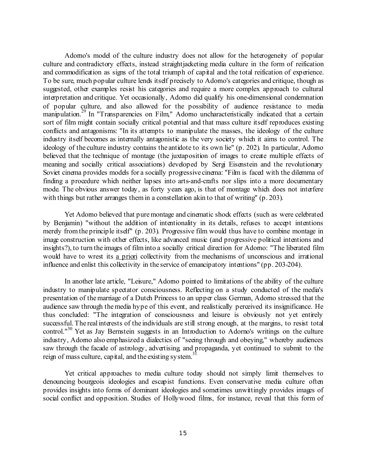Adorno's model of the culture industry does not allow for the heterogeneity of popular culture and contradictory effects, instead straightjacketing media culture in the form of reification and commodification as signs of the total triumph of capital and the total reification of experience. To be sure, much popular culture lends itself precisely to Adorno's categories and critique, though as suggested, other examples resist his categories and require a more complex approach to cultural interpretation and critique. Yet occasionally, Adorno did qualify his one-dimensional condemnation of popular culture, and also allowed for the possibility of audience resistance to media manipulation.<sup>29</sup> In "Transparencies on Film," Adomo uncharacteristically indicated that a certain sort of film might contain socially critical potential and that mass culture itself reproduces existing conflicts and antagonisms: "In its attempts to manipulate the masses, the ideology of the culture industry itself becomes as internally antagonistic as the very society which it aims to control. The ideology of the culture industry contains the antidote to its own lie" (p. 202). In particular, Adorno believed that the technique of montage (the juxtaposition of images to create multiple effects of meaning and socially critical associations) developed by Sergi Eisenstein and the revolutionary Soviet cinema provides models for a socially progressive cinema: "Film is faced with the dilemma of finding a procedure which neither lapses into arts-and-crafts nor slips into a more documentary mode. The obvious answer today, as forty years ago, is that of montage which does not interfere with things but rather arranges them in a constellation akin to that of writing" (p. 203).

Yet Adorno believed that puremontage and cinematic shock effects (such as were celebrated by Benjamin) "without the addition of intentionality in its details, refuses to accept intentions merely fromthe principle itself" (p. 203). Progressive film would thus have to combine montage in image construction with other effects, like advanced music (and progressive political intentions and insights?), to turn the images of filminto a socially critical direction for Adorno: "The liberated film would have to wrest its a priori collectivity from the mechanisms of unconscious and irrational influence and enlist this collectivity in the service of emancipatory intentions" (pp. 203-204).

In another late article, "Leisure," Adorno pointed to limitations of the ability of the culture industry to manipulate spectator consciousness. Reflecting on a study conducted of the media's presentation of themarriage of a Dutch Princess to an upper class German, Adorno stressed that the audience saw through themedia hype of this event, and realistically perceived its insignificance. He thus concluded: "The integration of consciousness and leisure is obviously not yet entirely successful. The real interests of the individuals are still strong enough, at the margins, to resist total control."<sup>30</sup> Yet as Jay Bernstein suggests in an Introduction to Adorno's writings on the culture industry, Adorno also emphasized a dialectics of "seeing through and obeying," whereby audiences saw through the facade of astrology, advertising, and propaganda, yet continued to submit to the reign of mass culture, capital, and the existing system.<sup>31</sup>

Yet critical approaches to media culture today should not simply limit themselves to denouncing bourgeois ideologies and escapist functions. Even conservative media culture often provides insights into forms of dominant ideologies and sometimes unwittingly provides images of social conflict and opposition. Studies of Hollywood films, for instance, reveal that this form of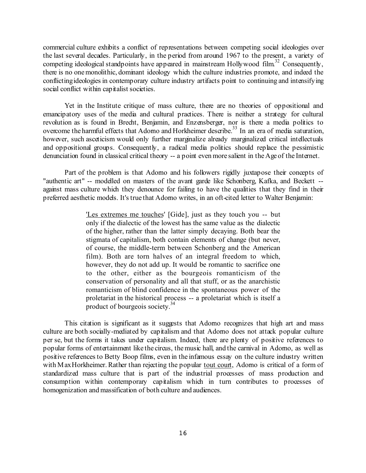commercial culture exhibits a conflict of representations between competing social ideologies over the last several decades. Particularly, in the period from around 1967 to the present, a variety of competing ideological standpoints have appeared in mainstream Hollywood film.<sup>32</sup> Consequently, there is no onemonolithic, dominant ideology which the culture industries promote, and indeed the conflicting ideologies in contemporary culture industry artifacts point to continuing and intensifying social conflict within capitalist societies.

Yet in the Institute critique of mass culture, there are no theories of oppositional and emancipatory uses of the media and cultural practices. There is neither a strategy for cultural revolution as is found in Brecht, Benjamin, and Enzensberger, nor is there a media politics to overcome the harmful effects that Adomo and Horkheimer describe.<sup>33</sup> In an era of media saturation, however, such asceticism would only further marginalize already marginalized critical intellectuals and oppositional groups. Consequently, a radical media politics should replace the pessimistic denunciation found in classical critical theory -- a point even more salient in the Age of the Internet.

Part of the problem is that Adorno and his followers rigidly juxtapose their concepts of "authentic art" -- modelled on masters of the avant garde like Schonberg, Kafka, and Beckett - against mass culture which they denounce for failing to have the qualities that they find in their preferred aesthetic models. It'strue that Adorno writes, in an oft-cited letter to Walter Benjamin:

> 'Les extremes me touches' [Gide], just as they touch you -- but only if the dialectic of the lowest has the same value as the dialectic of the higher, rather than the latter simply decaying. Both bear the stigmata of capitalism, both contain elements of change (but never, of course, the middle-term between Schonberg and the American film). Both are torn halves of an integral freedom to which, however, they do not add up. It would be romantic to sacrifice one to the other, either as the bourgeois romanticism of the conservation of personality and all that stuff, or as the anarchistic romanticism of blind confidence in the spontaneous power of the proletariat in the historical process -- a proletariat which is itself a product of bourgeois society.<sup>34</sup>

This citation is significant as it suggests that Adorno recognizes that high art and mass culture are both socially-mediated by capitalism and that Adorno does not attack popular culture per se, but the forms it takes under capitalism. Indeed, there are plenty of positive references to popular forms of entertainment like the circus, themusic hall, and the carnival in Adorno, as well as positive referencesto Betty Boop films, even in the infamous essay on the culture industry written with Max Horkheimer. Rather than rejecting the popular tout court, Adomo is critical of a form of standardized mass culture that is part of the industrial processes of mass production and consumption within contemporary capitalism which in turn contributes to processes of homogenization and massification of both culture and audiences.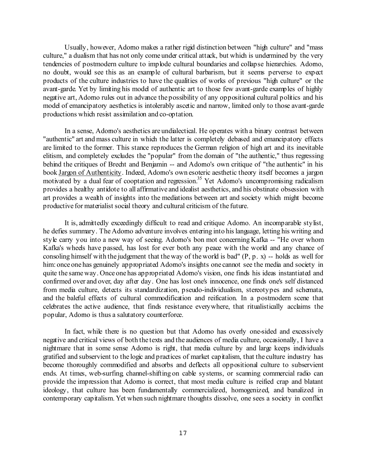Usually, however, Adorno makes a rather rigid distinction between "high culture" and "mass culture," a dualism that has not only come under critical attack, but which is undermined by the very tendencies of postmodern culture to implode cultural boundaries and collapse hierarchies. Adorno, no doubt, would see this as an example of cultural barbarism, but it seems perverse to expect products of the culture industries to have the qualities of works of previous "high culture" or the avant-garde. Yet by limiting his model of authentic art to those few avant-garde examples of highly negative art, Adorno rules out in advance the possibility of any oppositional cultural politics and his model of emancipatory aesthetics is intolerably ascetic and narrow, limited only to those avant-garde productions which resist assimilation and co-optation.

In a sense, Adorno's aesthetics are undialectical. He operates with a binary contrast between "authentic" art and mass culture in which the latter is completely debased and emancipatory effects are limited to the former. This stance reproduces the German religion of high art and its inevitable elitism, and completely excludes the "popular" from the domain of "the authentic," thus regressing behind the critiques of Brecht and Benjamin -- and Adorno's own critique of "the authentic" in his book Jargon of Authenticity. Indeed, Adorno's own esoteric aesthetic theory itself becomes a jargon motivated by a dual fear of cooptation and regression.<sup>35</sup> Yet Adomo's uncompromising radicalism provides a healthy antidote to all affirmative and idealist aesthetics, and his obstinate obsession with art provides a wealth of insights into the mediations between art and society which might become productive for materialist social theory and cultural criticism of the future.

It is, admittedly exceedingly difficult to read and critique Adomo. An incomparable stylist, he defies summary. The Adomo adventure involves entering into his language, letting his writing and style carry you into a new way of seeing. Adorno's bon mot concerning Kafka -- "He over whom Kafka's wheels have passed, has lost for ever both any peace with the world and any chance of consoling himself with the judgement that the way of the world is bad"  $(P, p, x)$  -- holds as well for him: once one has genuinely appropriated Adomo's insights one cannot see the media and society in quite the sameway. Once one has appropriated Adorno's vision, one finds his ideas instantiated and confirmed over and over, day after day. One has lost one's innocence, one finds one's self distanced from media culture, detects its standardization, pseudo-individualism, stereotypes and schemata, and the baleful effects of cultural commodification and reification. In a postmodern scene that celebrates the active audience, that finds resistance everywhere, that ritualistically acclaims the popular, Adomo is thus a salutatory counterforce.

In fact, while there is no question but that Adorno has overly one-sided and excessively negative and critical views of both the texts and the audiences of media culture, occasionally, I have a nightmare that in some sense Adorno is right, that media culture by and large keeps individuals gratified and subservient to the logic and practices of market capitalism, that the culture industry has become thoroughly commodified and absorbs and deflects all oppositional culture to subservient ends. At times, web-surfing, channel-shifting on cable systems, or scanning commercial radio can provide the impression that Adorno is correct, that most media culture is reified crap and blatant ideology, that culture has been fundamentally commercialized, homogenized, and banalized in contemporary capitalism. Yet when such nightmare thoughts dissolve, one sees a society in conflict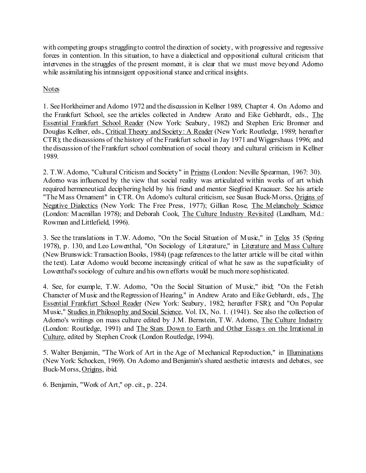with competing groups struggling to control the direction of society, with progressive and regressive forces in contention. In this situation, to have a dialectical and oppositional cultural criticism that intervenes in the struggles of the present moment, it is clear that we must move beyond Adorno while assimilating his intransigent oppositional stance and critical insights.

# Notes

1. SeeHorkheimer and Adorno 1972 and the discussion in Kellner 1989, Chapter 4. On Adorno and the Frankfurt School, see the articles collected in Andrew Arato and Eike Gebhardt, eds., The Essential Frankfurt School Reader (New York: Seabury, 1982) and Stephen Eric Bronner and Douglas Kellner, eds., Critical Theory and Society: A Reader (New York: Routledge, 1989; hereafter CTR); the discussions of the history of the Frankfurt school in Jay 1971 and Wiggershaus 1996; and the discussion of the Frankfurt school combination of social theory and cultural criticism in Kellner 1989.

2. T.W. Adorno, "Cultural Criticism and Society" in Prisms (London: Neville Spearman, 1967: 30). Adorno was influenced by the view that social reality was articulated within works of art which required hermeneutical deciphering held by his friend and mentor Siegfried Kracauer. See his article "TheMass Ornament" in CTR. On Adorno's cultural criticism, see Susan Buck-Morss, Origins of Negative Dialectics (New York: The Free Press, 1977); Gillian Rose, The Melancholy Science (London: Macmillan 1978); and Deborah Cook, The Culture Industry Revisited (Landham, Md.: Rowman and Littlefield, 1996).

3. See the translations in T.W. Adorno, "On the Social Situation of Music," in Telos 35 (Spring 1978), p. 130, and Leo Lowenthal, "On Sociology of Literature," in Literature and Mass Culture (New Brunswick:TransactionBooks, 1984) (page referencesto the latter article will be cited within the text). Later Adorno would become increasingly critical of what he saw as the superficiality of Lowenthal's sociology of culture and his own efforts would be much more sophisticated.

4. See, for example, T.W. Adorno, "On the Social Situation of Music," ibid; "On the Fetish Character of Music and the Regression of Hearing," in Andrew Arato and Eike Gebhardt, eds., The Essential Frankfurt School Reader (New York: Seabury, 1982; hereafter FSR); and "On Popular Music," Studies in Philosophy and Social Science, Vol. IX, No. 1. (1941). See also the collection of Adorno's writings on mass culture edited by J.M. Bernstein, T.W. Adorno, The Culture Industry (London: Routledge, 1991) and The Stars Down to Earth and Other Essays on the Irrational in Culture, edited by Stephen Crook (London Routledge, 1994).

5. Walter Benjamin, "The Work of Art in the Age of Mechanical Reproduction," in Illuminations (New York: Schocken, 1969). On Adomo and Benjamin's shared aesthetic interests and debates, see Buck-Morss, Origins, ibid.

6. Benjamin, "Work of Art," op. cit., p. 224.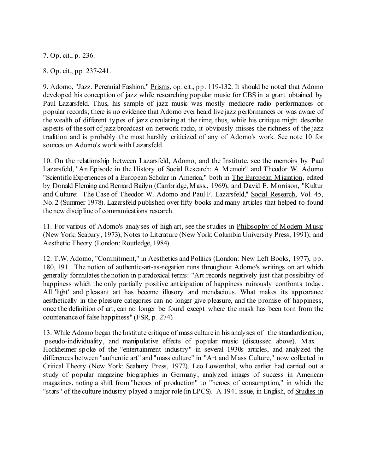7. Op. cit., p. 236.

8. Op. cit., pp. 237-241.

9. Adorno, "Jazz. Perennial Fashion," Prisms, op. cit., pp. 119-132. It should be noted that Adorno developed his conception of jazz while researching popular music for CBS in a grant obtained by Paul Lazarsfeld. Thus, his sample of jazz music was mostly mediocre radio performances or popular records; there is no evidence that Adorno ever heard live jazz performances or was aware of the wealth of different types of jazz circulating at the time; thus, while his critique might describe aspects of the sort of jazz broadcast on network radio, it obviously misses the richness of the jazz tradition and is probably the most harshly criticized of any of Adorno's work. See note 10 for sources on Adorno's work with Lazarsfeld.

10. On the relationship between Lazarsfeld, Adorno, and the Institute, see the memoirs by Paul Lazarsfeld, "An Episode in the History of Social Research: A Memoir" and Theodor W. Adorno "Scientific Experiences of a European Scholar in America," both in The European Migration, edited by Donald Fleming and Bernard Bailyn (Cambridge, Mass., 1969), and David E. Morrison, "Kultur and Culture: The Case of Theodor W. Adorno and Paul F. Lazarsfeld," Social Research, Vol. 45, No. 2 (Summer 1978). Lazarsfeld published over fifty books and many articles that helped to found the new discipline of communications research.

11. For various of Adorno's analyses of high art, see the studies in Philosophy of Modern Music (New York: Seabury, 1973); Notes to Literature (New York: Columbia University Press, 1991); and Aesthetic Theory (London: Routledge, 1984).

12. T.W. Adorno, "Commitment," in Aesthetics and Politics (London: New Left Books, 1977), pp. 180, 191. The notion of authentic-art-as-negation runs throughout Adorno's writings on art which generally formulates the notion in paradoxical terms: "Art records negatively just that possibility of happiness which the only partially positive anticipation of happiness ruinously confronts today. All 'light' and pleasant art has become illusory and mendacious. What makes its appearance aesthetically in the pleasure categories can no longer give pleasure, and the promise of happiness, once the definition of art, can no longer be found except where the mask has been torn from the countenance of false happiness" (FSR, p. 274).

13. While Adorno began the Institute critique of mass culture in his analyses of the standardization, pseudo-individuality, and manipulative effects of popular music (discussed above), Max Horkheimer spoke of the "entertainment industry" in several 1930s articles, and analyzed the differences between "authentic art" and "mass culture" in "Art and Mass Culture," now collected in Critical Theory (New York: Seabury Press, 1972). Leo Lowenthal, who earlier had carried out a study of popular magazine biographies in Germany, analyzed images of success in American magazines, noting a shift from "heroes of production" to "heroes of consumption," in which the "stars" of the culture industry played a major role (in LPCS). A 1941 issue, in English, of Studies in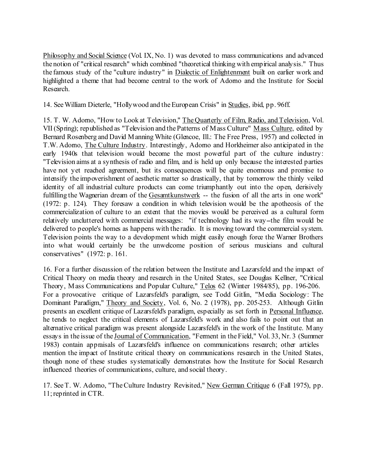Philosophy and Social Science (Vol. IX, No. 1) was devoted to mass communications and advanced the notion of "critical research" which combined "theoretical thinking with empirical analysis." Thus the famous study of the "culture industry" in Dialectic of Enlightenment built on earlier work and highlighted a theme that had become central to the work of Adorno and the Institute for Social Research.

14. See William Dieterle, "Hollywood and the European Crisis" in Studies, ibid, pp. 96ff.

15. T. W. Adomo, "How to Look at Television," The Quarterly of Film, Radio, and Television, Vol. VII (Spring); republished as "Television and the Patterns of Mass Culture" Mass Culture, edited by Bernard Rosenberg and David Manning White (Glencoe, Ill.: The Free Press, 1957) and collected in T.W. Adorno, The Culture Industry. Interestingly, Adorno and Horkheimer also anticipated in the early 1940s that television would become the most powerful part of the culture industry: "Television aims at a synthesis of radio and film, and is held up only because the interested parties have not yet reached agreement, but its consequences will be quite enormous and promise to intensify the impoverishment of aesthetic matter so drastically, that by tomorrow the thinly veiled identity of all industrial culture products can come triumphantly out into the open, derisively fulfilling the Wagnerian dream of the Gesamtkunstwerk -- the fusion of all the arts in one work" (1972: p. 124). They foresaw a condition in which television would be the apotheosis of the commercialization of culture to an extent that the movies would be perceived as a cultural form relatively uncluttered with commercial messages: "if technology had its way--the film would be delivered to people's homes as happens with the radio. It is moving toward the commercial system. Television points the way to a development which might easily enough force the Warner Brothers into what would certainly be the unwelcome position of serious musicians and cultural conservatives" (1972: p. 161.

16. For a further discussion of the relation between the Institute and Lazarsfeld and the impact of Critical Theory on media theory and research in the United States, see Douglas Kellner, "Critical Theory, Mass Communications and Popular Culture," Telos 62 (Winter 1984/85), pp. 196-206. For a provocative critique of Lazarsfeld's paradigm, see Todd Gitlin, "Media Sociology: The Dominant Paradigm," Theory and Society, Vol. 6, No. 2 (1978), pp. 205-253. Although Gitlin presents an excellent critique of Lazarsfeld's paradigm, especially as set forth in Personal Influence, he tends to neglect the critical elements of Lazarsfeld's work and also fails to point out that an alternative critical paradigm was present alongside Lazarsfeld's in the work of the Institute. Many essays in the issue of the Journal of Communication, "Ferment in the Field," Vol. 33, Nr. 3 (Summer 1983) contain appraisals of Lazarsfeld's influence on communications research; other articles mention the impact of Institute critical theory on communications research in the United States, though none of these studies systematically demonstrates how the Institute for Social Research influenced theories of communications, culture, and social theory.

17. SeeT. W. Adorno, "TheCulture Industry Revisited," New German Critique 6 (Fall 1975), pp. 11;reprinted in CTR.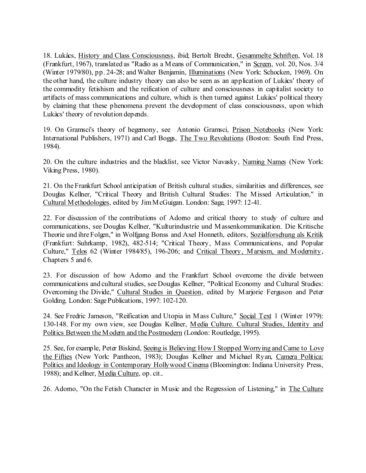18. Lukàcs, History and Class Consciousness, ibid; Bertolt Brecht, Gesammelte Schriften, Vol. 18 (Frankfurt, 1967), translated as "Radio as a Means of Communication," in Screen, vol. 20, Nos. 3/4 (Winter 1979/80), pp. 24-28; and Walter Benjamin, Illuminations (New York: Schocken, 1969). On the other hand, the culture industry theory can also be seen as an application of Lukàcs' theory of the commodity fetishism and the reification of culture and consciousness in capitalist society to artifacts of mass communications and culture, which is then turned against Lukàcs' political theory by claiming that these phenomena prevent the development of class consciousness, upon which Lukàcs' theory of revolution depends.

19. On Gramsci's theory of hegemony, see Antonio Gramsci, Prison Notebooks (New York: International Publishers, 1971) and Carl Boggs, The Two Revolutions (Boston: South End Press, 1984).

20. On the culture industries and the blacklist, see Victor Navasky, Naming Names (New York: Viking Press, 1980).

21. On the Frankfurt School anticipation of British cultural studies, similarities and differences, see Douglas Kellner, "Critical Theory and British Cultural Studies: The Missed Articulation," in Cultural Methodologies, edited by JimMcGuigan. London: Sage, 1997: 12-41.

22. For discussion of the contributions of Adorno and critical theory to study of culture and communications, see Douglas Kellner, "Kulturindustrie und Massenkommunikation. Die Kritische Theorie und ihre Folgen," in Wolfgang Bonss and Axel Honneth, editors, Sozialforschung als Kritik (Frankfurt: Suhrkamp, 1982), 482-514; "Critical Theory, Mass Communications, and Popular Culture," Telos 62 (Winter 1984/85), 196-206; and Critical Theory, Marxism, and Modernity, Chapters 5 and 6.

23. For discussion of how Adorno and the Frankfurt School overcome the divide between communications and cultural studies, seeDouglas Kellner, "Political Economy and Cultural Studies: Overcoming the Divide," Cultural Studies in Question, edited by Marjorie Ferguson and Peter Golding. London: Sage Publications, 1997: 102-120.

24. See Fredric Jameson, "Reification and Utopia in Mass Culture," Social Text 1 (Winter 1979): 130-148. For my own view, see Douglas Kellner, Media Culture. Cultural Studies, Identity and Politics Between theModern and the Postmodern (London: Routledge, 1995).

25. See, for example, Peter Biskind, Seeing is Believing:How I Stopped Worrying andCame to Love the Fifties (New York: Pantheon, 1983); Douglas Kellner and Michael Ryan, Camera Politica: Politics and Ideology in Contemporary Hollywood Cinema (Bloomington: Indiana University Press, 1988); and Kellner, Media Culture, op. cit..

26. Adorno, "On the Fetish Character in Music and the Regression of Listening," in The Culture